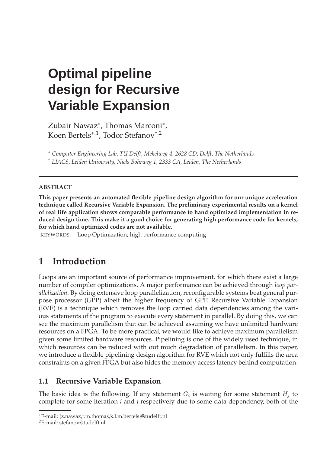# **Optimal pipeline design for Recursive Variable Expansion**

Zubair Nawaz<sup>\*</sup>, Thomas Marconi<sup>\*</sup>, Koen Bertels<sup>∗</sup>,<sup>1</sup> , Todor Stefanov†,<sup>2</sup>

<sup>∗</sup> *Computer Engineering Lab, TU Delft, Mekelweg 4, 2628 CD, Delft, The Netherlands* † *LIACS, Leiden University, Niels Bohrweg 1, 2333 CA, Leiden, The Netherlands*

#### **ABSTRACT**

**This paper presents an automated flexible pipeline design algorithm for our unique acceleration technique called Recursive Variable Expansion. The preliminary experimental results on a kernel of real life application shows comparable performance to hand optimized implementation in reduced design time. This make it a good choice for generating high performance code for kernels, for which hand optimized codes are not available.**

KEYWORDS: Loop Optimization; high performance computing

#### **1 Introduction**

Loops are an important source of performance improvement, for which there exist a large number of compiler optimizations. A major performance can be achieved through *loop parallelization*. By doing extensive loop parallelization, reconfigurable systems beat general purpose processor (GPP) albeit the higher frequency of GPP. Recursive Variable Expansion (RVE) is a technique which removes the loop carried data dependencies among the various statements of the program to execute every statement in parallel. By doing this, we can see the maximum parallelism that can be achieved assuming we have unlimited hardware resources on a FPGA. To be more practical, we would like to achieve maximum parallelism given some limited hardware resources. Pipelining is one of the widely used technique, in which resources can be reduced with out much degradation of parallelism. In this paper, we introduce a flexible pipelining design algorithm for RVE which not only fulfills the area constraints on a given FPGA but also hides the memory access latency behind computation.

#### **1.1 Recursive Variable Expansion**

The basic idea is the following. If any statement  $G_i$  is waiting for some statement  $H_j$  to complete for some iteration *i* and *j* respectively due to some data dependency, both of the

<sup>1</sup>E-mail: {z.nawaz,t.m.thomas,k.l.m.bertels}@tudelft.nl

<sup>2</sup>E-mail: stefanov@tudelft.nl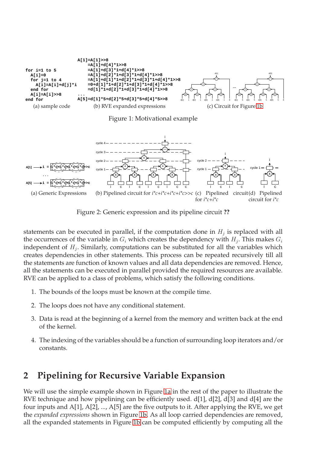<span id="page-1-1"></span><span id="page-1-0"></span>

<span id="page-1-6"></span><span id="page-1-5"></span><span id="page-1-2"></span>Figure 1: Motivational example



<span id="page-1-4"></span>Figure 2: Generic expression and its pipeline circuit **??**

<span id="page-1-3"></span>statements can be executed in parallel, if the computation done in  $H_j$  is replaced with all the occurrences of the variable in  $G_i$  which creates the dependency with  $H_j$ . This makes  $G_i$ independent of  $H_j$ . Similarly, computations can be substituted for all the variables which creates dependencies in other statements. This process can be repeated recursively till all the statements are function of known values and all data dependencies are removed. Hence, all the statements can be executed in parallel provided the required resources are available. RVE can be applied to a class of problems, which satisfy the following conditions.

- 1. The bounds of the loops must be known at the compile time.
- 2. The loops does not have any conditional statement.
- 3. Data is read at the beginning of a kernel from the memory and written back at the end of the kernel.
- 4. The indexing of the variables should be a function of surrounding loop iterators and/or constants.

#### **2 Pipelining for Recursive Variable Expansion**

We will use the simple example shown in Figure [1a](#page-1-1) in the rest of the paper to illustrate the RVE technique and how pipelining can be efficiently used. d[1], d[2], d[3] and d[4] are the four inputs and A[1], A[2], ..., A[5] are the five outputs to it. After applying the RVE, we get the *expanded expressions* shown in Figure [1b.](#page-1-0) As all loop carried dependencies are removed, all the expanded statements in Figure [1b](#page-1-0) can be computed efficiently by computing all the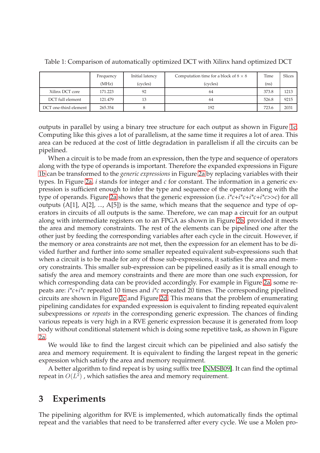|                       | Frequency | Initial latency | Computation time for a block of $8 \times 8$ | Time              | <b>Slices</b> |
|-----------------------|-----------|-----------------|----------------------------------------------|-------------------|---------------|
|                       | (MHz)     | (cycles)        | (cycles)                                     | (n <sub>S</sub> ) |               |
| Xilinx DCT core       | 171.223   | 92              | 64                                           | 373.8             | 1213          |
| DCT full element      | 121.479   | 13              | 64                                           | 526.8             | 9215          |
| DCT one-third element | 265.354   |                 | 192                                          | 723.6             | 2031          |

<span id="page-2-0"></span>Table 1: Comparison of automatically optimized DCT with Xilinx hand optimized DCT

outputs in parallel by using a binary tree structure for each output as shown in Figure [1c.](#page-1-2) Computing like this gives a lot of parallelism, at the same time it requires a lot of area. This area can be reduced at the cost of little degradation in parallelism if all the circuits can be pipelined.

When a circuit is to be made from an expression, then the type and sequence of operators along with the type of operands is important. Therefore the expanded expressions in Figure [1b](#page-1-0) can be transformed to the *generic expressions* in Figure [2a](#page-1-3) by replacing variables with their types. In Figure [2a,](#page-1-3) *i* stands for integer and *c* for constant. The information in a generic expression is sufficient enough to infer the type and sequence of the operator along with the type of operands. Figure [2a](#page-1-3) shows that the generic expression (i.e. *i\*c+i\*c+i\*c+i\*c>>c*) for all outputs  $(A[1], A[2], ..., A[5])$  is the same, which means that the sequence and type of operators in circuits of all outputs is the same. Therefore, we can map a circuit for an output along with intermediate registers on to an FPGA as shown in Figure [2b,](#page-1-4) provided it meets the area and memory constraints. The rest of the elements can be pipelined one after the other just by feeding the corresponding variables after each cycle in the circuit. However, if the memory or area constraints are not met, then the expression for an element has to be divided further and further into some smaller repeated equivalent sub-expressions such that when a circuit is to be made for any of those sub-expressions, it satisfies the area and memory constraints. This smaller sub-expression can be pipelined easily as it is small enough to satisfy the area and memory constraints and there are more than one such expression, for which corresponding data can be provided accordingly. For example in Figure [2a,](#page-1-3) some repeats are: *i\*c+i\*c* repeated 10 times and *i\*c* repeated 20 times. The corresponding pipelined circuits are shown in Figure [2c](#page-1-5) and Figure [2d.](#page-1-6) This means that the problem of enumerating pipelining candidates for expanded expression is equivalent to finding repeated equivalent subexpressions or *repeats* in the corresponding generic expression. The chances of finding various repeats is very high in a RVE generic expression because it is generated from loop body without conditional statement which is doing some repetitive task, as shown in Figure [2a.](#page-1-3)

We would like to find the largest circuit which can be pipelinied and also satisfy the area and memory requirement. It is equivalent to finding the largest repeat in the generic expression which satisfy the area and memory requirment.

A better algorithm to find repeat is by using suffix tree [\[NMSB09\]](#page-3-0). It can find the optimal repeat in  $O(L^2)$ , which satisfies the area and memory requirement.

#### **3 Experiments**

The pipelining algorithm for RVE is implemented, which automatically finds the optimal repeat and the variables that need to be transferred after every cycle. We use a Molen pro